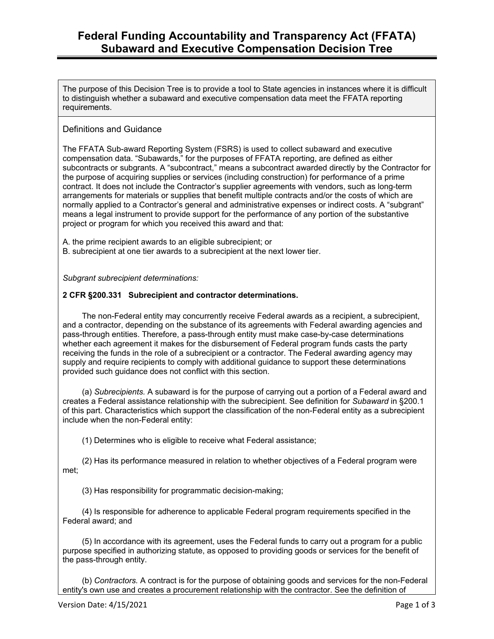The purpose of this Decision Tree is to provide a tool to State agencies in instances where it is difficult to distinguish whether a subaward and executive compensation data meet the FFATA reporting requirements.

### Definitions and Guidance

The FFATA Sub-award Reporting System (FSRS) is used to collect subaward and executive compensation data. "Subawards," for the purposes of FFATA reporting, are defined as either subcontracts or subgrants. A "subcontract," means a subcontract awarded directly by the Contractor for the purpose of acquiring supplies or services (including construction) for performance of a prime contract. It does not include the Contractor's supplier agreements with vendors, such as long-term arrangements for materials or supplies that benefit multiple contracts and/or the costs of which are normally applied to a Contractor's general and administrative expenses or indirect costs. A "subgrant" means a legal instrument to provide support for the performance of any portion of the substantive project or program for which you received this award and that:

A. the prime recipient awards to an eligible subrecipient; or B. subrecipient at one tier awards to a subrecipient at the next lower tier.

*Subgrant subrecipient determinations:* 

#### **2 CFR §200.331 Subrecipient and contractor determinations.**

The non-Federal entity may concurrently receive Federal awards as a recipient, a subrecipient, and a contractor, depending on the substance of its agreements with Federal awarding agencies and pass-through entities. Therefore, a pass-through entity must make case-by-case determinations whether each agreement it makes for the disbursement of Federal program funds casts the party receiving the funds in the role of a subrecipient or a contractor. The Federal awarding agency may supply and require recipients to comply with additional guidance to support these determinations provided such guidance does not conflict with this section.

(a) *Subrecipients.* A subaward is for the purpose of carrying out a portion of a Federal award and creates a Federal assistance relationship with the subrecipient. See definition for *Subaward* in §200.1 of this part. Characteristics which support the classification of the non-Federal entity as a subrecipient include when the non-Federal entity:

(1) Determines who is eligible to receive what Federal assistance;

(2) Has its performance measured in relation to whether objectives of a Federal program were met;

(3) Has responsibility for programmatic decision-making;

(4) Is responsible for adherence to applicable Federal program requirements specified in the Federal award; and

(5) In accordance with its agreement, uses the Federal funds to carry out a program for a public purpose specified in authorizing statute, as opposed to providing goods or services for the benefit of the pass-through entity.

(b) *Contractors.* A contract is for the purpose of obtaining goods and services for the non-Federal entity's own use and creates a procurement relationship with the contractor. See the definition of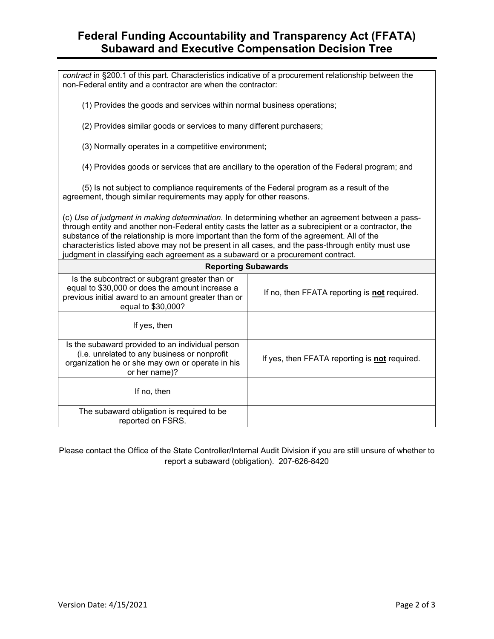## **Federal Funding Accountability and Transparency Act (FFATA) Subaward and Executive Compensation Decision Tree**

| contract in §200.1 of this part. Characteristics indicative of a procurement relationship between the<br>non-Federal entity and a contractor are when the contractor:                                                                                                                                                                                                                                                                                                                            |                                                      |
|--------------------------------------------------------------------------------------------------------------------------------------------------------------------------------------------------------------------------------------------------------------------------------------------------------------------------------------------------------------------------------------------------------------------------------------------------------------------------------------------------|------------------------------------------------------|
| (1) Provides the goods and services within normal business operations;                                                                                                                                                                                                                                                                                                                                                                                                                           |                                                      |
| (2) Provides similar goods or services to many different purchasers;                                                                                                                                                                                                                                                                                                                                                                                                                             |                                                      |
| (3) Normally operates in a competitive environment;                                                                                                                                                                                                                                                                                                                                                                                                                                              |                                                      |
| (4) Provides goods or services that are ancillary to the operation of the Federal program; and                                                                                                                                                                                                                                                                                                                                                                                                   |                                                      |
| (5) Is not subject to compliance requirements of the Federal program as a result of the<br>agreement, though similar requirements may apply for other reasons.                                                                                                                                                                                                                                                                                                                                   |                                                      |
| (c) Use of judgment in making determination. In determining whether an agreement between a pass-<br>through entity and another non-Federal entity casts the latter as a subrecipient or a contractor, the<br>substance of the relationship is more important than the form of the agreement. All of the<br>characteristics listed above may not be present in all cases, and the pass-through entity must use<br>judgment in classifying each agreement as a subaward or a procurement contract. |                                                      |
| <b>Reporting Subawards</b>                                                                                                                                                                                                                                                                                                                                                                                                                                                                       |                                                      |
| Is the subcontract or subgrant greater than or<br>equal to \$30,000 or does the amount increase a<br>previous initial award to an amount greater than or<br>equal to \$30,000?                                                                                                                                                                                                                                                                                                                   | If no, then FFATA reporting is <b>not</b> required.  |
| If yes, then                                                                                                                                                                                                                                                                                                                                                                                                                                                                                     |                                                      |
| Is the subaward provided to an individual person<br>(i.e. unrelated to any business or nonprofit<br>organization he or she may own or operate in his<br>or her name)?                                                                                                                                                                                                                                                                                                                            | If yes, then FFATA reporting is <b>not</b> required. |
| If no, then                                                                                                                                                                                                                                                                                                                                                                                                                                                                                      |                                                      |
| The subaward obligation is required to be<br>reported on FSRS.                                                                                                                                                                                                                                                                                                                                                                                                                                   |                                                      |

Please contact the Office of the State Controller/Internal Audit Division if you are still unsure of whether to report a subaward (obligation). 207-626-8420